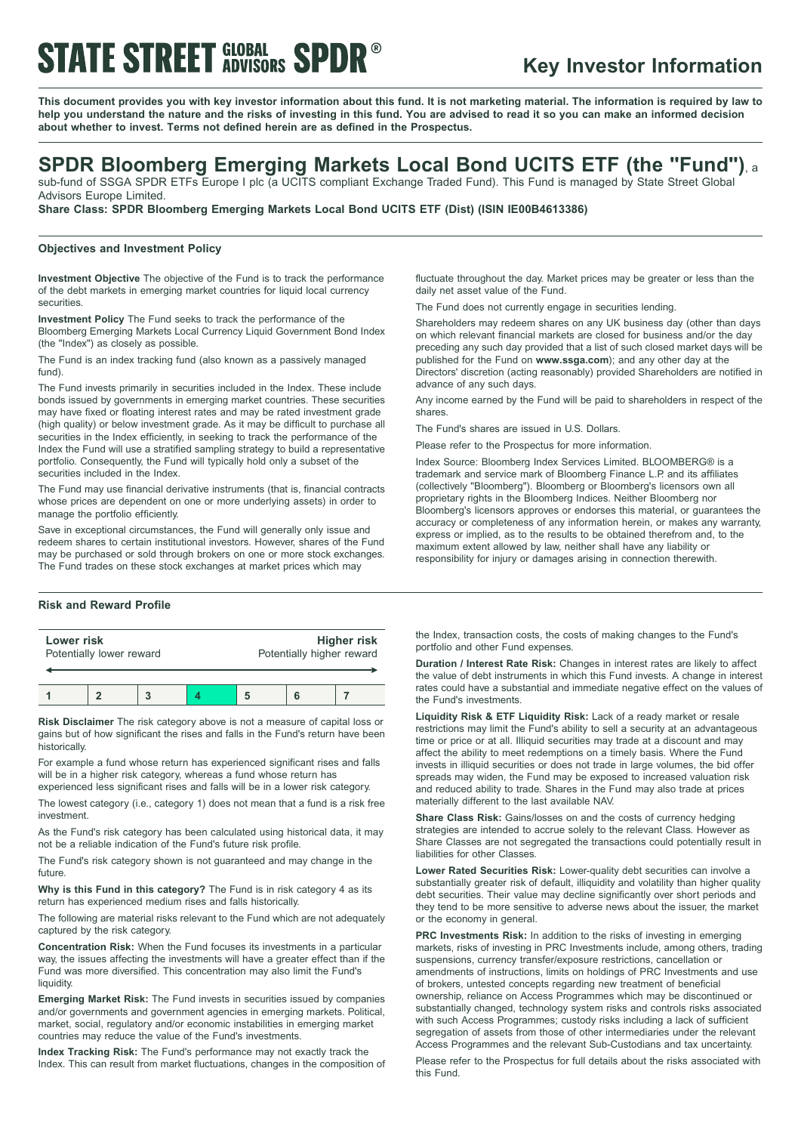# **STATE STREET GLOBAL SPDR<sup>®</sup>**

# **Key Investor Information**

This document provides you with key investor information about this fund. It is not marketing material. The information is required by law to help you understand the nature and the risks of investing in this fund. You are advised to read it so you can make an informed decision **about whether to invest. Terms not defined herein are as defined in the Prospectus.**

# **SPDR Bloomberg Emerging Markets Local Bond UCITS ETF (the "Fund")**, <sup>a</sup>

sub-fund of SSGA SPDR ETFs Europe I plc (a UCITS compliant Exchange Traded Fund). This Fund is managed by State Street Global Advisors Europe Limited.

**Share Class: SPDR Bloomberg Emerging Markets Local Bond UCITS ETF (Dist) (ISIN IE00B4613386)**

### **Objectives and Investment Policy**

**Investment Objective** The objective of the Fund is to track the performance of the debt markets in emerging market countries for liquid local currency securities.

**Investment Policy** The Fund seeks to track the performance of the Bloomberg Emerging Markets Local Currency Liquid Government Bond Index (the "Index") as closely as possible.

The Fund is an index tracking fund (also known as a passively managed fund).

The Fund invests primarily in securities included in the Index. These include bonds issued by governments in emerging market countries. These securities may have fixed or floating interest rates and may be rated investment grade (high quality) or below investment grade. As it may be difficult to purchase all securities in the Index efficiently, in seeking to track the performance of the Index the Fund will use a stratified sampling strategy to build a representative portfolio. Consequently, the Fund will typically hold only a subset of the securities included in the Index.

The Fund may use financial derivative instruments (that is, financial contracts whose prices are dependent on one or more underlying assets) in order to manage the portfolio efficiently.

Save in exceptional circumstances, the Fund will generally only issue and redeem shares to certain institutional investors. However, shares of the Fund may be purchased or sold through brokers on one or more stock exchanges. The Fund trades on these stock exchanges at market prices which may

## **Risk and Reward Profile**

| Lower risk               | Higher risk               |
|--------------------------|---------------------------|
| Potentially lower reward | Potentially higher reward |
|                          |                           |

**1 2 3 4 5 6 7**

**Risk Disclaimer** The risk category above is not a measure of capital loss or gains but of how significant the rises and falls in the Fund's return have been historically.

For example a fund whose return has experienced significant rises and falls will be in a higher risk category, whereas a fund whose return has

experienced less significant rises and falls will be in a lower risk category. The lowest category (i.e., category 1) does not mean that a fund is a risk free

investment.

As the Fund's risk category has been calculated using historical data, it may not be a reliable indication of the Fund's future risk profile.

The Fund's risk category shown is not guaranteed and may change in the future.

**Why is this Fund in this category?** The Fund is in risk category 4 as its return has experienced medium rises and falls historically.

The following are material risks relevant to the Fund which are not adequately captured by the risk category.

**Concentration Risk:** When the Fund focuses its investments in a particular way, the issues affecting the investments will have a greater effect than if the Fund was more diversified. This concentration may also limit the Fund's liquidity.

**Emerging Market Risk:** The Fund invests in securities issued by companies and/or governments and government agencies in emerging markets. Political, market, social, regulatory and/or economic instabilities in emerging market countries may reduce the value of the Fund's investments.

**Index Tracking Risk:** The Fund's performance may not exactly track the Index. This can result from market fluctuations, changes in the composition of fluctuate throughout the day. Market prices may be greater or less than the daily net asset value of the Fund.

The Fund does not currently engage in securities lending.

Shareholders may redeem shares on any UK business day (other than days on which relevant financial markets are closed for business and/or the day preceding any such day provided that a list of such closed market days will be published for the Fund on **www.ssga.com**); and any other day at the Directors' discretion (acting reasonably) provided Shareholders are notified in advance of any such days.

Any income earned by the Fund will be paid to shareholders in respect of the shares.

The Fund's shares are issued in U.S. Dollars.

Please refer to the Prospectus for more information.

Index Source: Bloomberg Index Services Limited. BLOOMBERG® is a trademark and service mark of Bloomberg Finance L.P. and its affiliates (collectively "Bloomberg"). Bloomberg or Bloomberg's licensors own all proprietary rights in the Bloomberg Indices. Neither Bloomberg nor Bloomberg's licensors approves or endorses this material, or guarantees the accuracy or completeness of any information herein, or makes any warranty, express or implied, as to the results to be obtained therefrom and, to the maximum extent allowed by law, neither shall have any liability or responsibility for injury or damages arising in connection therewith.

the Index, transaction costs, the costs of making changes to the Fund's portfolio and other Fund expenses.

**Duration / Interest Rate Risk:** Changes in interest rates are likely to affect the value of debt instruments in which this Fund invests. A change in interest rates could have a substantial and immediate negative effect on the values of the Fund's investments.

**Liquidity Risk & ETF Liquidity Risk:** Lack of a ready market or resale restrictions may limit the Fund's ability to sell a security at an advantageous time or price or at all. Illiquid securities may trade at a discount and may affect the ability to meet redemptions on a timely basis. Where the Fund invests in illiquid securities or does not trade in large volumes, the bid offer spreads may widen, the Fund may be exposed to increased valuation risk and reduced ability to trade. Shares in the Fund may also trade at prices materially different to the last available NAV.

**Share Class Risk:** Gains/losses on and the costs of currency hedging strategies are intended to accrue solely to the relevant Class. However as Share Classes are not segregated the transactions could potentially result in liabilities for other Classes.

**Lower Rated Securities Risk:** Lower-quality debt securities can involve a substantially greater risk of default, illiquidity and volatility than higher quality debt securities. Their value may decline significantly over short periods and they tend to be more sensitive to adverse news about the issuer, the market or the economy in general.

**PRC Investments Risk:** In addition to the risks of investing in emerging markets, risks of investing in PRC Investments include, among others, trading suspensions, currency transfer/exposure restrictions, cancellation or amendments of instructions, limits on holdings of PRC Investments and use of brokers, untested concepts regarding new treatment of beneficial ownership, reliance on Access Programmes which may be discontinued or substantially changed, technology system risks and controls risks associated with such Access Programmes; custody risks including a lack of sufficient segregation of assets from those of other intermediaries under the relevant Access Programmes and the relevant Sub-Custodians and tax uncertainty.

Please refer to the Prospectus for full details about the risks associated with this Fund.